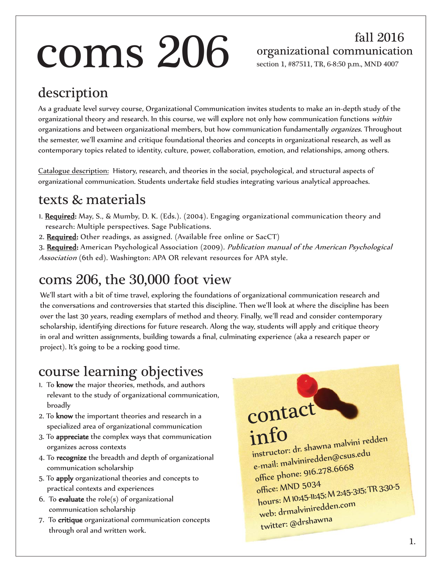# $\rm \bf \overline{cons} \, 206$  organizational communication

fall 2016

section 1, #87511, TR, 6-8:50 p.m., MND 4007

#### description

As a graduate level survey course, Organizational Communication invites students to make an in-depth study of the organizational theory and research. In this course, we will explore not only how communication functions within organizations and between organizational members, but how communication fundamentally *organizes*. Throughout the semester, we'll examine and critique foundational theories and concepts in organizational research, as well as contemporary topics related to identity, culture, power, collaboration, emotion, and relationships, among others.

Catalogue description: History, research, and theories in the social, psychological, and structural aspects of organizational communication. Students undertake field studies integrating various analytical approaches.

#### texts & materials

- 1. Required: May, S., & Mumby, D. K. (Eds.). (2004). Engaging organizational communication theory and research: Multiple perspectives. Sage Publications.
- 2. Required: Other readings, as assigned. (Available free online or SacCT)
- 3. Required: American Psychological Association (2009). Publication manual of the American Psychological Association (6th ed). Washington: APA OR relevant resources for APA style.

#### coms 206, the 30,000 foot view

We'll start with a bit of time travel, exploring the foundations of organizational communication research and the conversations and controversies that started this discipline. Then we'll look at where the discipline has been over the last 30 years, reading exemplars of method and theory. Finally, we'll read and consider contemporary scholarship, identifying directions for future research. Along the way, students will apply and critique theory in oral and written assignments, building towards a final, culminating experience (aka a research paper or project). It's going to be a rocking good time.

#### course learning objectives

- 1. To know the major theories, methods, and authors relevant to the study of organizational communication, broadly
- 2. To know the important theories and research in a specialized area of organizational communication
- 3. To appreciate the complex ways that communication organizes across contexts
- 4. To recognize the breadth and depth of organizational communication scholarship
- 5. To apply organizational theories and concepts to practical contexts and experiences
- 6. To **evaluate** the role(s) of organizational communication scholarship
- 7. To critique organizational communication concepts through oral and written work.

info instructor: dr. shawna malvini redden e-mail: malviniredden@csus.edu office phone: 916.278.6668 office: MND 5034 hours: M 10:45-11:45; M 2:45-3:15; TR 3:30-5 web: drmalviniredden.com twitter: @drshawna

contact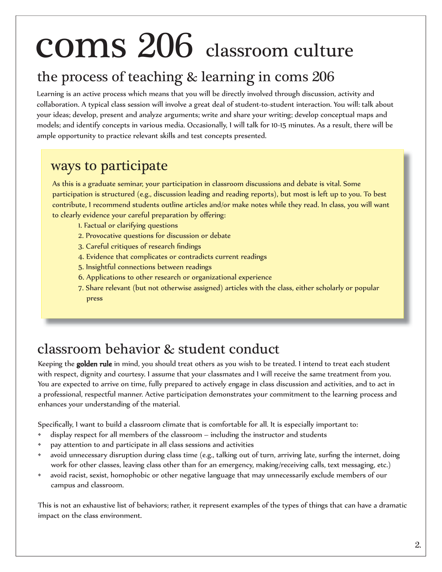# coms 206 classroom culture

#### the process of teaching & learning in coms 206

Learning is an active process which means that you will be directly involved through discussion, activity and collaboration. A typical class session will involve a great deal of student-to-student interaction. You will: talk about your ideas; develop, present and analyze arguments; write and share your writing; develop conceptual maps and models; and identify concepts in various media. Occasionally, I will talk for 10-15 minutes. As a result, there will be ample opportunity to practice relevant skills and test concepts presented.

#### ways to participate

As this is a graduate seminar, your participation in classroom discussions and debate is vital. Some participation is structured (e.g., discussion leading and reading reports), but most is left up to you. To best contribute, I recommend students outline articles and/or make notes while they read. In class, you will want to clearly evidence your careful preparation by offering:

- 1. Factual or clarifying questions
- 2. Provocative questions for discussion or debate
- 3. Careful critiques of research findings
- 4. Evidence that complicates or contradicts current readings
- 5. Insightful connections between readings
- 6. Applications to other research or organizational experience
- 7. Share relevant (but not otherwise assigned) articles with the class, either scholarly or popular press

#### classroom behavior & student conduct

Keeping the golden rule in mind, you should treat others as you wish to be treated. I intend to treat each student with respect, dignity and courtesy. I assume that your classmates and I will receive the same treatment from you. You are expected to arrive on time, fully prepared to actively engage in class discussion and activities, and to act in a professional, respectful manner. Active participation demonstrates your commitment to the learning process and enhances your understanding of the material.

Specifically, I want to build a classroom climate that is comfortable for all. It is especially important to:

- display respect for all members of the classroom including the instructor and students
- pay attention to and participate in all class sessions and activities
- avoid unnecessary disruption during class time (e.g., talking out of turn, arriving late, surfing the internet, doing work for other classes, leaving class other than for an emergency, making/receiving calls, text messaging, etc.)
- avoid racist, sexist, homophobic or other negative language that may unnecessarily exclude members of our campus and classroom.

This is not an exhaustive list of behaviors; rather, it represent examples of the types of things that can have a dramatic impact on the class environment.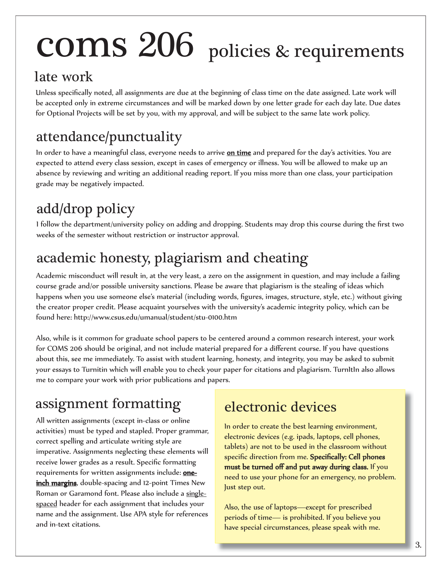# coms 206 policies & requirements

#### late work

Unless specifically noted, all assignments are due at the beginning of class time on the date assigned. Late work will be accepted only in extreme circumstances and will be marked down by one letter grade for each day late. Due dates for Optional Projects will be set by you, with my approval, and will be subject to the same late work policy.

### attendance/punctuality

In order to have a meaningful class, everyone needs to arrive on time and prepared for the day's activities. You are expected to attend every class session, except in cases of emergency or illness. You will be allowed to make up an absence by reviewing and writing an additional reading report. If you miss more than one class, your participation grade may be negatively impacted.

## add/drop policy

I follow the department/university policy on adding and dropping. Students may drop this course during the first two weeks of the semester without restriction or instructor approval.

## academic honesty, plagiarism and cheating

Academic misconduct will result in, at the very least, a zero on the assignment in question, and may include a failing course grade and/or possible university sanctions. Please be aware that plagiarism is the stealing of ideas which happens when you use someone else's material (including words, figures, images, structure, style, etc.) without giving the creator proper credit. Please acquaint yourselves with the university's academic integrity policy, which can be found here: http://www.csus.edu/umanual/student/stu-0100.htm

Also, while is it common for graduate school papers to be centered around a common research interest, your work for COMS 206 should be original, and not include material prepared for a different course. If you have questions about this, see me immediately. To assist with student learning, honesty, and integrity, you may be asked to submit your essays to Turnitin which will enable you to check your paper for citations and plagiarism. TurnItIn also allows me to compare your work with prior publications and papers.

## assignment formatting

All written assignments (except in-class or online activities) must be typed and stapled. Proper grammar, correct spelling and articulate writing style are imperative. Assignments neglecting these elements will receive lower grades as a result. Specific formatting requirements for written assignments include: oneinch margins, double-spacing and 12-point Times New Roman or Garamond font. Please also include a singlespaced header for each assignment that includes your name and the assignment. Use APA style for references and in-text citations.

#### electronic devices

In order to create the best learning environment, electronic devices (e.g. ipads, laptops, cell phones, tablets) are not to be used in the classroom without specific direction from me. Specifically: Cell phones must be turned off and put away during class. If you need to use your phone for an emergency, no problem. Just step out.

Also, the use of laptops—except for prescribed periods of time— is prohibited. If you believe you have special circumstances, please speak with me.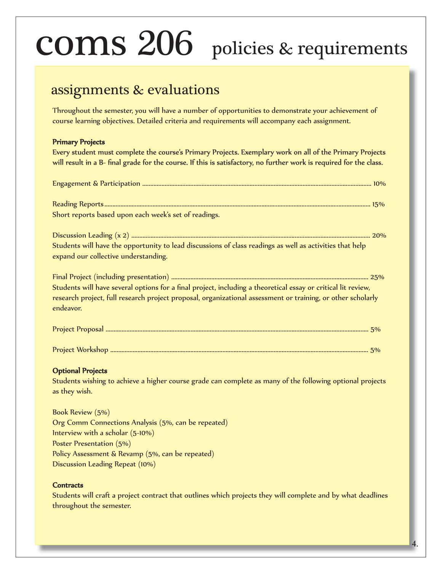# coms 206 policies & requirements

#### assignments & evaluations

Throughout the semester, you will have a number of opportunities to demonstrate your achievement of course learning objectives. Detailed criteria and requirements will accompany each assignment.

#### **Primary Projects**

Every student must complete the course's Primary Projects. Exemplary work on all of the Primary Projects will result in a B- final grade for the course. If this is satisfactory, no further work is required for the class.

| Short reports based upon each week's set of readings.                                                                                                                                                                                     |
|-------------------------------------------------------------------------------------------------------------------------------------------------------------------------------------------------------------------------------------------|
|                                                                                                                                                                                                                                           |
| Students will have the opportunity to lead discussions of class readings as well as activities that help                                                                                                                                  |
| expand our collective understanding.                                                                                                                                                                                                      |
| Students will have several options for a final project, including a theoretical essay or critical lit review,<br>research project, full research project proposal, organizational assessment or training, or other scholarly<br>endeavor. |
|                                                                                                                                                                                                                                           |

#### Project Workshop ................................................................................................................................................................. 5%

#### **Optional Projects**

Students wishing to achieve a higher course grade can complete as many of the following optional projects as they wish.

Book Review (5%) Org Comm Connections Analysis (5%, can be repeated) Interview with a scholar (5-10%) Poster Presentation (5%) Policy Assessment & Revamp (5%, can be repeated) Discussion Leading Repeat (10%)

#### Contracts

Students will craft a project contract that outlines which projects they will complete and by what deadlines throughout the semester.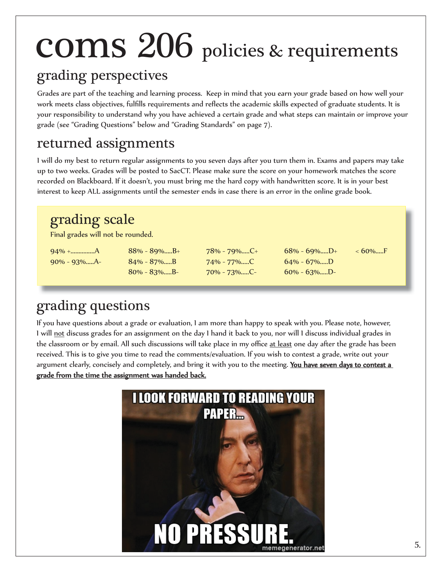# coms 206 policies & requirements

#### grading perspectives

Grades are part of the teaching and learning process. Keep in mind that you earn your grade based on how well your work meets class objectives, fulfills requirements and reflects the academic skills expected of graduate students. It is your responsibility to understand why you have achieved a certain grade and what steps can maintain or improve your grade (see "Grading Questions" below and "Grading Standards" on page 7).

### returned assignments

I will do my best to return regular assignments to you seven days after you turn them in. Exams and papers may take up to two weeks. Grades will be posted to SacCT. Please make sure the score on your homework matches the score recorded on Blackboard. If it doesn't, you must bring me the hard copy with handwritten score. It is in your best interest to keep ALL assignments until the semester ends in case there is an error in the online grade book.

#### grading scale

Final grades will not be rounded.

90% - 93%.....A- 84% - 87%.....B 74% - 77%.....C 64% - 67%.....D

80% - 83%.....B- 70% - 73%.....C- 60% - 63%.....D-

94% +...............A 88% - 89%.....B+ 78% - 79%.....C+ 68% - 69%.....D+ < 60%.....F

## grading questions

If you have questions about a grade or evaluation, I am more than happy to speak with you. Please note, however, I will not discuss grades for an assignment on the day I hand it back to you, nor will I discuss individual grades in the classroom or by email. All such discussions will take place in my office at least one day after the grade has been received. This is to give you time to read the comments/evaluation. If you wish to contest a grade, write out your argument clearly, concisely and completely, and bring it with you to the meeting. You have seven days to contest a grade from the time the assignment was handed back.

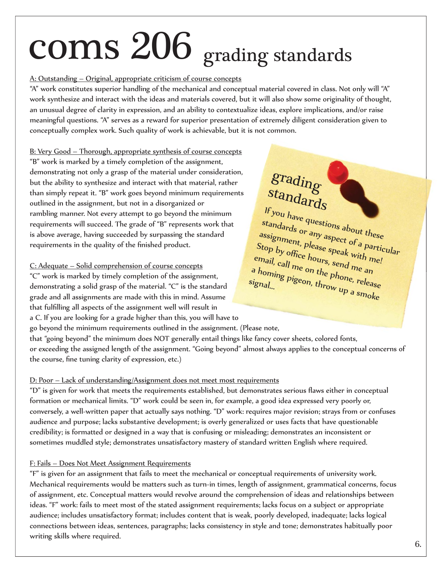# coms 206 grading standards

#### A: Outstanding – Original, appropriate criticism of course concepts

"A" work constitutes superior handling of the mechanical and conceptual material covered in class. Not only will "A" work synthesize and interact with the ideas and materials covered, but it will also show some originality of thought, an unusual degree of clarity in expression, and an ability to contextualize ideas, explore implications, and/or raise meaningful questions. "A" serves as a reward for superior presentation of extremely diligent consideration given to conceptually complex work. Such quality of work is achievable, but it is not common.

B: Very Good – Thorough, appropriate synthesis of course concepts "B" work is marked by a timely completion of the assignment, demonstrating not only a grasp of the material under consideration, but the ability to synthesize and interact with that material, rather than simply repeat it. "B" work goes beyond minimum requirements outlined in the assignment, but not in a disorganized or rambling manner. Not every attempt to go beyond the minimum requirements will succeed. The grade of "B" represents work that is above average, having succeeded by surpassing the standard requirements in the quality of the finished product.

#### C: Adequate – Solid comprehension of course concepts

"C" work is marked by timely completion of the assignment, demonstrating a solid grasp of the material. "C" is the standard grade and all assignments are made with this in mind. Assume that fulfilling all aspects of the assignment well will result in a C. If you are looking for a grade higher than this, you will have to

## grading standards

If you have questions about these standards or any aspect of a particular assignment, please speak with me! Stop by office hours, send me an email, call me on the phone, release<br>a homing pigeon, throw up a signal a homing pigeon, the phone, release<br>ignal...<br>all pigeon, throw up a smoke signal...

go beyond the minimum requirements outlined in the assignment. (Please note, that "going beyond" the minimum does NOT generally entail things like fancy cover sheets, colored fonts, or exceeding the assigned length of the assignment. "Going beyond" almost always applies to the conceptual concerns of the course, fine tuning clarity of expression, etc.)

#### D: Poor – Lack of understanding/Assignment does not meet most requirements

"D" is given for work that meets the requirements established, but demonstrates serious flaws either in conceptual formation or mechanical limits. "D" work could be seen in, for example, a good idea expressed very poorly or, conversely, a well-written paper that actually says nothing. "D" work: requires major revision; strays from or confuses audience and purpose; lacks substantive development; is overly generalized or uses facts that have questionable credibility; is formatted or designed in a way that is confusing or misleading; demonstrates an inconsistent or sometimes muddled style; demonstrates unsatisfactory mastery of standard written English where required.

#### F: Fails – Does Not Meet Assignment Requirements

"F" is given for an assignment that fails to meet the mechanical or conceptual requirements of university work. Mechanical requirements would be matters such as turn-in times, length of assignment, grammatical concerns, focus of assignment, etc. Conceptual matters would revolve around the comprehension of ideas and relationships between ideas. "F" work: fails to meet most of the stated assignment requirements; lacks focus on a subject or appropriate audience; includes unsatisfactory format; includes content that is weak, poorly developed, inadequate; lacks logical connections between ideas, sentences, paragraphs; lacks consistency in style and tone; demonstrates habitually poor writing skills where required.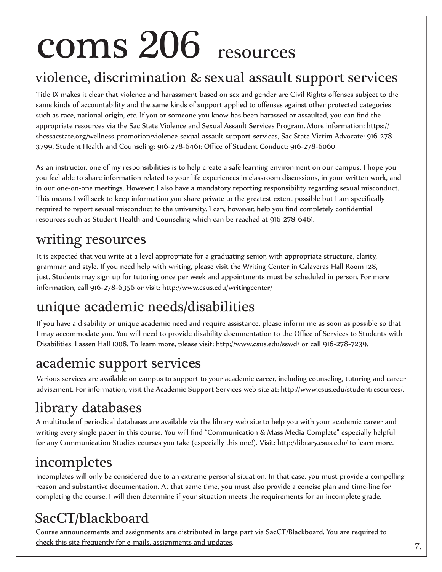# coms 206 resources

#### violence, discrimination & sexual assault support services

Title IX makes it clear that violence and harassment based on sex and gender are Civil Rights offenses subject to the same kinds of accountability and the same kinds of support applied to offenses against other protected categories such as race, national origin, etc. If you or someone you know has been harassed or assaulted, you can find the appropriate resources via the Sac State Violence and Sexual Assault Services Program. More information: https:// shcssacstate.org/wellness-promotion/violence-sexual-assault-support-services, Sac State Victim Advocate: 916-278- 3799, Student Health and Counseling: 916-278-6461; Office of Student Conduct: 916-278-6060

As an instructor, one of my responsibilities is to help create a safe learning environment on our campus. I hope you you feel able to share information related to your life experiences in classroom discussions, in your written work, and in our one-on-one meetings. However, I also have a mandatory reporting responsibility regarding sexual misconduct. This means I will seek to keep information you share private to the greatest extent possible but I am specifically required to report sexual misconduct to the university. I can, however, help you find completely confidential resources such as Student Health and Counseling which can be reached at 916-278-6461.

#### writing resources

It is expected that you write at a level appropriate for a graduating senior, with appropriate structure, clarity, grammar, and style. If you need help with writing, please visit the Writing Center in Calaveras Hall Room 128, just. Students may sign up for tutoring once per week and appointments must be scheduled in person. For more information, call 916-278-6356 or visit: http://www.csus.edu/writingcenter/

#### unique academic needs/disabilities

If you have a disability or unique academic need and require assistance, please inform me as soon as possible so that I may accommodate you. You will need to provide disability documentation to the Office of Services to Students with Disabilities, Lassen Hall 1008. To learn more, please visit: http://www.csus.edu/sswd/ or call 916-278-7239.

#### academic support services

Various services are available on campus to support to your academic career, including counseling, tutoring and career advisement. For information, visit the Academic Support Services web site at: http://www.csus.edu/studentresources/.

### library databases

A multitude of periodical databases are available via the library web site to help you with your academic career and writing every single paper in this course. You will find "Communication & Mass Media Complete" especially helpful for any Communication Studies courses you take (especially this one!). Visit: http://library.csus.edu/ to learn more.

#### incompletes

Incompletes will only be considered due to an extreme personal situation. In that case, you must provide a compelling reason and substantive documentation. At that same time, you must also provide a concise plan and time-line for completing the course. I will then determine if your situation meets the requirements for an incomplete grade.

## SacCT/blackboard

Course announcements and assignments are distributed in large part via SacCT/Blackboard. You are required to check this site frequently for e-mails, assignments and updates.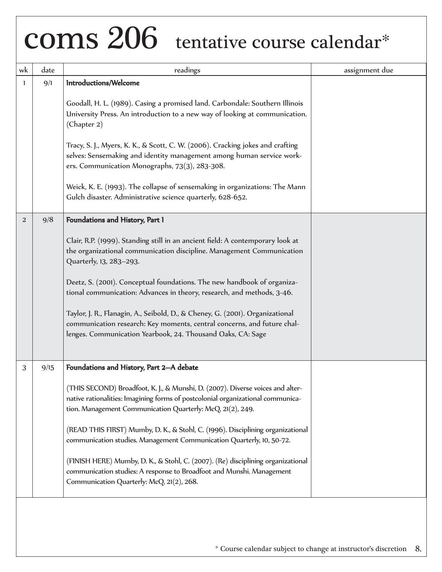| wk | date | readings                                                                                                                                                                                                                                                                                                                                                                                                                                                                                                                                                                                                                                           | assignment due |
|----|------|----------------------------------------------------------------------------------------------------------------------------------------------------------------------------------------------------------------------------------------------------------------------------------------------------------------------------------------------------------------------------------------------------------------------------------------------------------------------------------------------------------------------------------------------------------------------------------------------------------------------------------------------------|----------------|
| 1  | 9/1  | Introductions/Welcome<br>Goodall, H. L. (1989). Casing a promised land. Carbondale: Southern Illinois<br>University Press. An introduction to a new way of looking at communication.<br>(Chapter 2)<br>Tracy, S. J., Myers, K. K., & Scott, C. W. (2006). Cracking jokes and crafting<br>selves: Sensemaking and identity management among human service work-<br>ers. Communication Monographs, 73(3), 283-308.<br>Weick, K. E. (1993). The collapse of sensemaking in organizations: The Mann<br>Gulch disaster. Administrative science quarterly, 628-652.                                                                                      |                |
| 2  | 9/8  | Foundations and History, Part 1<br>Clair, R.P. (1999). Standing still in an ancient field: A contemporary look at<br>the organizational communication discipline. Management Communication<br>Quarterly, 13, 283-293.<br>Deetz, S. (2001). Conceptual foundations. The new handbook of organiza-<br>tional communication: Advances in theory, research, and methods, 3-46.<br>Taylor, J. R., Flanagin, A., Seibold, D., & Cheney, G. (2001). Organizational<br>communication research: Key moments, central concerns, and future chal-<br>lenges. Communication Yearbook, 24. Thousand Oaks, CA: Sage                                              |                |
| 3  | 9/15 | Foundations and History, Part 2--A debate<br>(THIS SECOND) Broadfoot, K. J., & Munshi, D. (2007). Diverse voices and alter-<br>native rationalities: Imagining forms of postcolonial organizational communica-<br>tion. Management Communication Quarterly: McQ, 21(2), 249.<br>(READ THIS FIRST) Mumby, D. K., & Stohl, C. (1996). Disciplining organizational<br>communication studies. Management Communication Quarterly, 10, 50-72.<br>(FINISH HERE) Mumby, D. K., & Stohl, C. (2007). (Re) disciplining organizational<br>communication studies: A response to Broadfoot and Munshi. Management<br>Communication Quarterly: McQ, 21(2), 268. |                |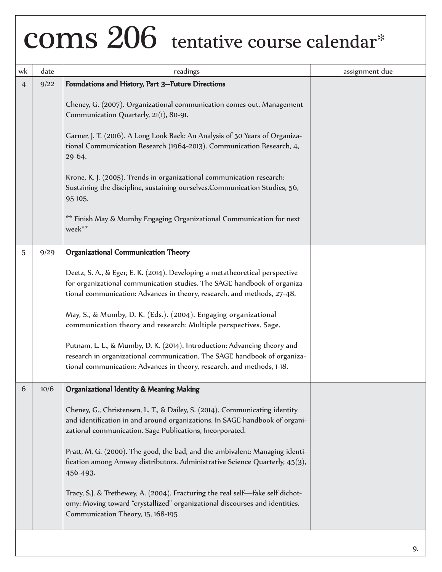| wk             | date | readings                                                                                                                                                                                                                                                                                                                                                                                                                                                                                                                                                                                                                                            | assignment due |
|----------------|------|-----------------------------------------------------------------------------------------------------------------------------------------------------------------------------------------------------------------------------------------------------------------------------------------------------------------------------------------------------------------------------------------------------------------------------------------------------------------------------------------------------------------------------------------------------------------------------------------------------------------------------------------------------|----------------|
| $\overline{4}$ | 9/22 | Foundations and History, Part 3--Future Directions<br>Cheney, G. (2007). Organizational communication comes out. Management<br>Communication Quarterly, 21(1), 80-91.<br>Garner, J. T. (2016). A Long Look Back: An Analysis of 50 Years of Organiza-<br>tional Communication Research (1964-2013). Communication Research, 4,<br>29-64.<br>Krone, K. J. (2005). Trends in organizational communication research:<br>Sustaining the discipline, sustaining ourselves.Communication Studies, 56,<br>95-105.<br>** Finish May & Mumby Engaging Organizational Communication for next<br>week**                                                        |                |
| 5              | 9/29 | Organizational Communication Theory<br>Deetz, S. A., & Eger, E. K. (2014). Developing a metatheoretical perspective<br>for organizational communication studies. The SAGE handbook of organiza-<br>tional communication: Advances in theory, research, and methods, 27-48.<br>May, S., & Mumby, D. K. (Eds.). (2004). Engaging organizational<br>communication theory and research: Multiple perspectives. Sage.<br>Putnam, L. L., & Mumby, D. K. (2014). Introduction: Advancing theory and<br>research in organizational communication. The SAGE handbook of organiza-<br>tional communication: Advances in theory, research, and methods, 1-18.  |                |
| 6              | 10/6 | Organizational Identity & Meaning Making<br>Cheney, G., Christensen, L. T., & Dailey, S. (2014). Communicating identity<br>and identification in and around organizations. In SAGE handbook of organi-<br>zational communication. Sage Publications, Incorporated.<br>Pratt, M. G. (2000). The good, the bad, and the ambivalent: Managing identi-<br>fication among Amway distributors. Administrative Science Quarterly, 45(3),<br>456-493.<br>Tracy, S.J. & Trethewey, A. (2004). Fracturing the real self-fake self dichot-<br>omy: Moving toward "crystallized" organizational discourses and identities.<br>Communication Theory, 15, 168-195 |                |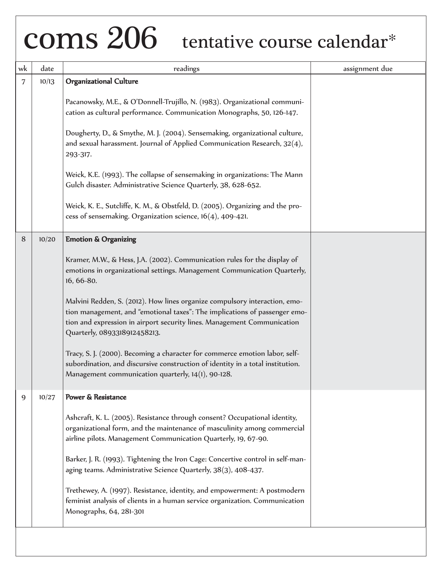| wk | date  | readings                                                                                                                                                                                                                                                            | assignment due |
|----|-------|---------------------------------------------------------------------------------------------------------------------------------------------------------------------------------------------------------------------------------------------------------------------|----------------|
| 7  | 10/13 | <b>Organizational Culture</b>                                                                                                                                                                                                                                       |                |
|    |       | Pacanowsky, M.E., & O'Donnell-Trujillo, N. (1983). Organizational communi-<br>cation as cultural performance. Communication Monographs, 50, 126-147.                                                                                                                |                |
|    |       | Dougherty, D., & Smythe, M. J. (2004). Sensemaking, organizational culture,<br>and sexual harassment. Journal of Applied Communication Research, 32(4),<br>293-317.                                                                                                 |                |
|    |       | Weick, K.E. (1993). The collapse of sensemaking in organizations: The Mann<br>Gulch disaster. Administrative Science Quarterly, 38, 628-652.                                                                                                                        |                |
|    |       | Weick, K. E., Sutcliffe, K. M., & Obstfeld, D. (2005). Organizing and the pro-<br>cess of sensemaking. Organization science, $16(4)$ , 409-421.                                                                                                                     |                |
| 8  | 10/20 | <b>Emotion &amp; Organizing</b>                                                                                                                                                                                                                                     |                |
|    |       | Kramer, M.W., & Hess, J.A. (2002). Communication rules for the display of<br>emotions in organizational settings. Management Communication Quarterly,<br>16, 66-80.                                                                                                 |                |
|    |       | Malvini Redden, S. (2012). How lines organize compulsory interaction, emo-<br>tion management, and "emotional taxes": The implications of passenger emo-<br>tion and expression in airport security lines. Management Communication<br>Quarterly, 0893318912458213. |                |
|    |       | Tracy, S. J. (2000). Becoming a character for commerce emotion labor, self-<br>subordination, and discursive construction of identity in a total institution.<br>Management communication quarterly, 14(1), 90-128.                                                 |                |
| 9  | 10/27 | Power & Resistance                                                                                                                                                                                                                                                  |                |
|    |       | Ashcraft, K. L. (2005). Resistance through consent? Occupational identity,<br>organizational form, and the maintenance of masculinity among commercial<br>airline pilots. Management Communication Quarterly, 19, 67-90.                                            |                |
|    |       | Barker, J. R. (1993). Tightening the Iron Cage: Concertive control in self-man-<br>aging teams. Administrative Science Quarterly, 38(3), 408-437.                                                                                                                   |                |
|    |       | Trethewey, A. (1997). Resistance, identity, and empowerment: A postmodern<br>feminist analysis of clients in a human service organization. Communication<br>Monographs, 64, 281-301                                                                                 |                |
|    |       |                                                                                                                                                                                                                                                                     |                |